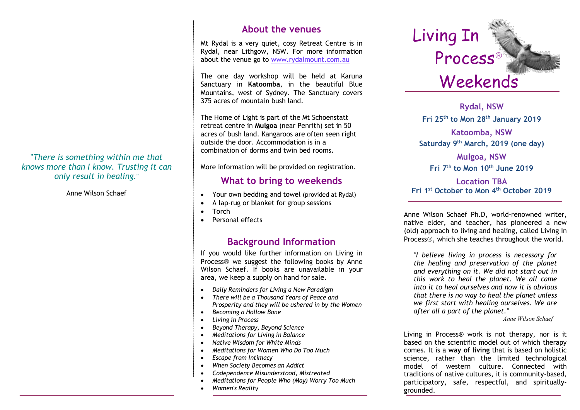### "*There is something within me that knows more than I know. Trusting it can only result in healing."*

Anne Wilson Schaef

# **About the venues**

Mt Rydal is a very quiet, cosy Retreat Centre is in Rydal, near Lithgow, NSW. For more information about the venue go to www.rydalmount.com.au

The one day workshop will be held at Karuna Sanctuary in **Katoomba**, in the beautiful Blue Mountains, west of Sydney. The Sanctuary covers 375 acres of mountain bush land.

The Home of Light is part of the Mt Schoenstatt retreat centre in **Mulgoa** (near Penrith) set in 50 acres of bush land. Kangaroos are often seen right outside the door. Accommodation is in a combination of dorms and twin bed rooms.

More information will be provided on registration.

## **What to bring to weekends**

- Your own bedding and towel (provided at Rydal)
- A lap-rug or blanket for group sessions
- Torch
- Personal effects

# **Background Information**

If you would like further information on Living in Process<sup>®</sup> we suggest the following books by Anne Wilson Schaef. If books are unavailable in your area, we keep a supply on hand for sale.

- *Daily Reminders for Living a New Paradigm*
- *There will be a Thousand Years of Peace and Prosperity and they will be ushered in by the Women*
- *Becoming a Hollow Bone*
- *Living in Process*
- *Beyond Therapy, Beyond Science*
- *Meditations for Living in Balance*
- *Native Wisdom for White Minds*
- *Meditations for Women Who Do Too Much*
- *Escape from Intimacy*
- *When Society Becomes an Addict*
- *Codependence Misunderstood, Mistreated*

• *The Addictive Organization (with Diane Fassel)*

- *Meditations for People Who (May) Worry Too Much*
- *Women's Reality*



**Karuna Sanctuary Fri 25th to Mon 28th January 2019 Rydal, NSW Katoomba, NSW Saturday 9th March, 2019 (one day)**

**Mulgoa, NSW Fri 7th to Mon 10th June 2019**

### **Location TBA Fri 1st October to Mon 4th October 2019**

Anne Wilson Schaef Ph.D, world-renowned writer, native elder, and teacher, has pioneered a new (old) approach to living and healing, called Living In Process<sup>®</sup>, which she teaches throughout the world.

*"I believe living in process is necessary for the healing and preservation of the planet and everything on it. We did not start out in this work to heal the planet. We all came into it to heal ourselves and now it is obvious that there is no way to heal the planet unless we first start with healing ourselves. We are after all a part of the planet."* 

*Anne Wilson Schaef*

Living in Process® work is not therapy, nor is it based on the scientific model out of which therapy comes. It is a **way of living** that is based on holistic science, rather than the limited technological model of western culture. Connected with traditions of native cultures, it is community-based, participatory, safe, respectful, and spirituallygrounded.